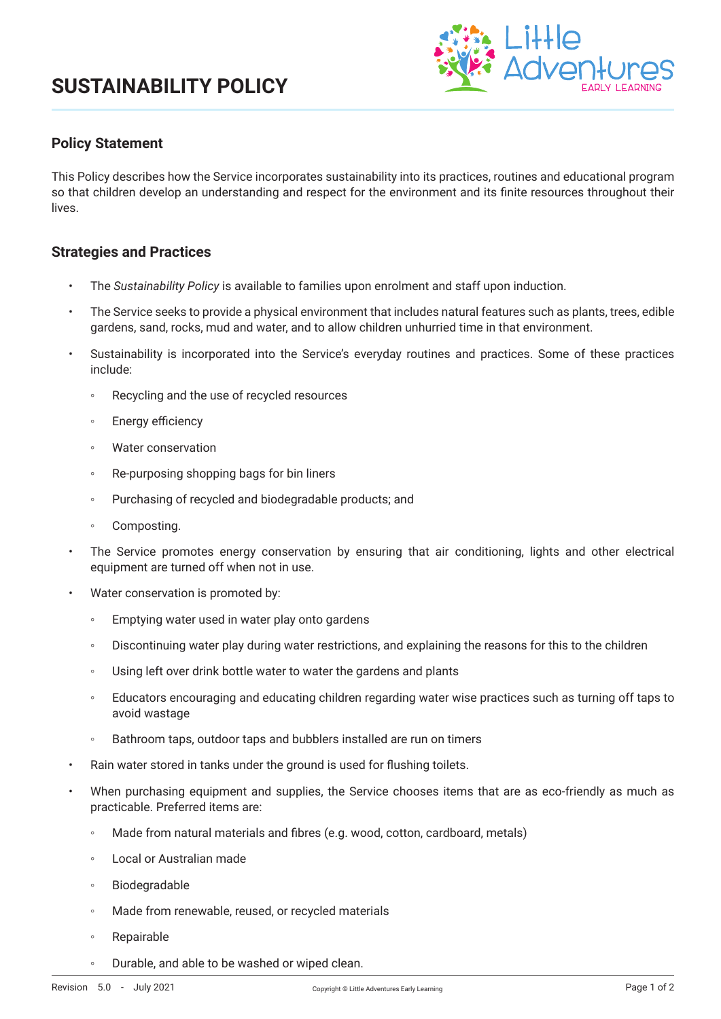

## **Policy Statement**

This Policy describes how the Service incorporates sustainability into its practices, routines and educational program so that children develop an understanding and respect for the environment and its finite resources throughout their lives.

### **Strategies and Practices**

- The *Sustainability Policy* is available to families upon enrolment and staff upon induction.
- The Service seeks to provide a physical environment that includes natural features such as plants, trees, edible gardens, sand, rocks, mud and water, and to allow children unhurried time in that environment.
- Sustainability is incorporated into the Service's everyday routines and practices. Some of these practices include:
	- Recycling and the use of recycled resources
	- Energy efficiency
	- Water conservation
	- Re-purposing shopping bags for bin liners
	- Purchasing of recycled and biodegradable products; and
	- Composting.
- The Service promotes energy conservation by ensuring that air conditioning, lights and other electrical equipment are turned off when not in use.
- Water conservation is promoted by:
	- Emptying water used in water play onto gardens
	- Discontinuing water play during water restrictions, and explaining the reasons for this to the children
	- Using left over drink bottle water to water the gardens and plants
	- Educators encouraging and educating children regarding water wise practices such as turning off taps to avoid wastage
	- Bathroom taps, outdoor taps and bubblers installed are run on timers
- Rain water stored in tanks under the ground is used for flushing toilets.
- When purchasing equipment and supplies, the Service chooses items that are as eco-friendly as much as practicable. Preferred items are:
	- Made from natural materials and fibres (e.g. wood, cotton, cardboard, metals)
	- Local or Australian made
	- Biodegradable
	- Made from renewable, reused, or recycled materials
	- Repairable
	- Durable, and able to be washed or wiped clean.